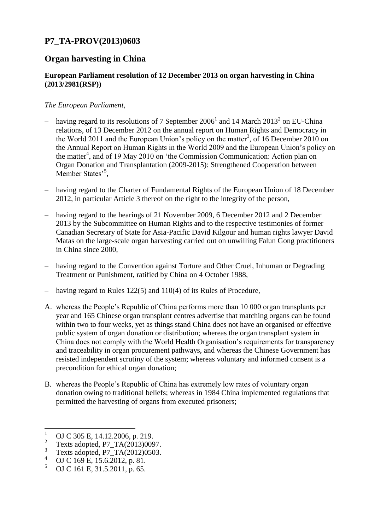## **P7\_TA-PROV(2013)0603**

## **Organ harvesting in China**

## **European Parliament resolution of 12 December 2013 on organ harvesting in China (2013/2981(RSP))**

## *The European Parliament*,

- having regard to its resolutions of 7 September 2006<sup>1</sup> and 14 March 2013<sup>2</sup> on EU-China relations, of 13 December 2012 on the annual report on Human Rights and Democracy in the World 2011 and the European Union's policy on the matter<sup>3</sup>, of 16 December 2010 on the Annual Report on Human Rights in the World 2009 and the European Union's policy on the matter<sup>4</sup>, and of 19 May 2010 on 'the Commission Communication: Action plan on Organ Donation and Transplantation (2009-2015): Strengthened Cooperation between Member States'<sup>5</sup>,
- having regard to the Charter of Fundamental Rights of the European Union of 18 December 2012, in particular Article 3 thereof on the right to the integrity of the person,
- having regard to the hearings of 21 November 2009, 6 December 2012 and 2 December 2013 by the Subcommittee on Human Rights and to the respective testimonies of former Canadian Secretary of State for Asia-Pacific David Kilgour and human rights lawyer David Matas on the large-scale organ harvesting carried out on unwilling Falun Gong practitioners in China since 2000,
- having regard to the Convention against Torture and Other Cruel, Inhuman or Degrading Treatment or Punishment, ratified by China on 4 October 1988,
- having regard to Rules 122(5) and 110(4) of its Rules of Procedure,
- A. whereas the People's Republic of China performs more than 10 000 organ transplants per year and 165 Chinese organ transplant centres advertise that matching organs can be found within two to four weeks, yet as things stand China does not have an organised or effective public system of organ donation or distribution; whereas the organ transplant system in China does not comply with the World Health Organisation's requirements for transparency and traceability in organ procurement pathways, and whereas the Chinese Government has resisted independent scrutiny of the system; whereas voluntary and informed consent is a precondition for ethical organ donation;
- B. whereas the People's Republic of China has extremely low rates of voluntary organ donation owing to traditional beliefs; whereas in 1984 China implemented regulations that permitted the harvesting of organs from executed prisoners;

 $\mathbf{1}$ OJ C 305 E, 14.12.2006, p. 219.

<sup>2</sup> Texts adopted, P7\_TA(2013)0097.

<sup>3</sup> Texts adopted,  $P7_TA(2012)0503$ .

 $^{4}$  OJ C 169 E, 15.6.2012, p. 81.

<sup>5</sup> OJ C 161 E, 31.5.2011, p. 65.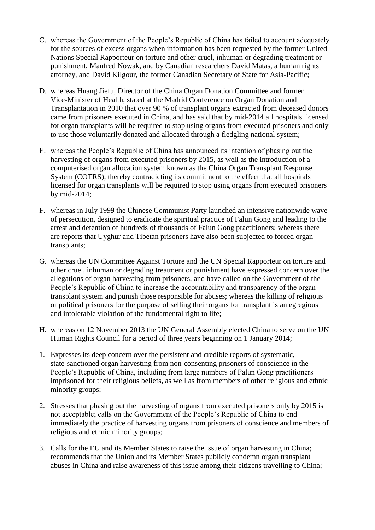- C. whereas the Government of the People's Republic of China has failed to account adequately for the sources of excess organs when information has been requested by the former United Nations Special Rapporteur on torture and other cruel, inhuman or degrading treatment or punishment, Manfred Nowak, and by Canadian researchers David Matas, a human rights attorney, and David Kilgour, the former Canadian Secretary of State for Asia-Pacific;
- D. whereas Huang Jiefu, Director of the China Organ Donation Committee and former Vice-Minister of Health, stated at the Madrid Conference on Organ Donation and Transplantation in 2010 that over 90 % of transplant organs extracted from deceased donors came from prisoners executed in China, and has said that by mid-2014 all hospitals licensed for organ transplants will be required to stop using organs from executed prisoners and only to use those voluntarily donated and allocated through a fledgling national system;
- E. whereas the People's Republic of China has announced its intention of phasing out the harvesting of organs from executed prisoners by 2015, as well as the introduction of a computerised organ allocation system known as the China Organ Transplant Response System (COTRS), thereby contradicting its commitment to the effect that all hospitals licensed for organ transplants will be required to stop using organs from executed prisoners by mid-2014;
- F. whereas in July 1999 the Chinese Communist Party launched an intensive nationwide wave of persecution, designed to eradicate the spiritual practice of Falun Gong and leading to the arrest and detention of hundreds of thousands of Falun Gong practitioners; whereas there are reports that Uyghur and Tibetan prisoners have also been subjected to forced organ transplants;
- G. whereas the UN Committee Against Torture and the UN Special Rapporteur on torture and other cruel, inhuman or degrading treatment or punishment have expressed concern over the allegations of organ harvesting from prisoners, and have called on the Government of the People's Republic of China to increase the accountability and transparency of the organ transplant system and punish those responsible for abuses; whereas the killing of religious or political prisoners for the purpose of selling their organs for transplant is an egregious and intolerable violation of the fundamental right to life;
- H. whereas on 12 November 2013 the UN General Assembly elected China to serve on the UN Human Rights Council for a period of three years beginning on 1 January 2014;
- 1. Expresses its deep concern over the persistent and credible reports of systematic, state-sanctioned organ harvesting from non-consenting prisoners of conscience in the People's Republic of China, including from large numbers of Falun Gong practitioners imprisoned for their religious beliefs, as well as from members of other religious and ethnic minority groups;
- 2. Stresses that phasing out the harvesting of organs from executed prisoners only by 2015 is not acceptable; calls on the Government of the People's Republic of China to end immediately the practice of harvesting organs from prisoners of conscience and members of religious and ethnic minority groups;
- 3. Calls for the EU and its Member States to raise the issue of organ harvesting in China; recommends that the Union and its Member States publicly condemn organ transplant abuses in China and raise awareness of this issue among their citizens travelling to China;